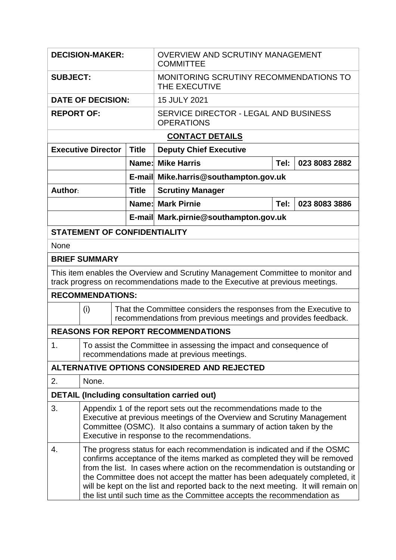| <b>DECISION-MAKER:</b>                                                                                                                                           |                                                                                                                                                                                                                                                                                                                                                                                                                                                                                     |              | <b>OVERVIEW AND SCRUTINY MANAGEMENT</b><br><b>COMMITTEE</b>                                                                       |                       |               |  |  |  |  |
|------------------------------------------------------------------------------------------------------------------------------------------------------------------|-------------------------------------------------------------------------------------------------------------------------------------------------------------------------------------------------------------------------------------------------------------------------------------------------------------------------------------------------------------------------------------------------------------------------------------------------------------------------------------|--------------|-----------------------------------------------------------------------------------------------------------------------------------|-----------------------|---------------|--|--|--|--|
| <b>SUBJECT:</b>                                                                                                                                                  |                                                                                                                                                                                                                                                                                                                                                                                                                                                                                     |              | MONITORING SCRUTINY RECOMMENDATIONS TO<br>THE EXECUTIVE                                                                           |                       |               |  |  |  |  |
| <b>DATE OF DECISION:</b>                                                                                                                                         |                                                                                                                                                                                                                                                                                                                                                                                                                                                                                     |              | 15 JULY 2021                                                                                                                      |                       |               |  |  |  |  |
| <b>REPORT OF:</b>                                                                                                                                                |                                                                                                                                                                                                                                                                                                                                                                                                                                                                                     |              | SERVICE DIRECTOR - LEGAL AND BUSINESS<br><b>OPERATIONS</b>                                                                        |                       |               |  |  |  |  |
| <b>CONTACT DETAILS</b>                                                                                                                                           |                                                                                                                                                                                                                                                                                                                                                                                                                                                                                     |              |                                                                                                                                   |                       |               |  |  |  |  |
| <b>Executive Director</b>                                                                                                                                        |                                                                                                                                                                                                                                                                                                                                                                                                                                                                                     | <b>Title</b> | <b>Deputy Chief Executive</b>                                                                                                     |                       |               |  |  |  |  |
|                                                                                                                                                                  |                                                                                                                                                                                                                                                                                                                                                                                                                                                                                     |              | <b>Name: Mike Harris</b>                                                                                                          | Tel:<br>023 8083 2882 |               |  |  |  |  |
|                                                                                                                                                                  |                                                                                                                                                                                                                                                                                                                                                                                                                                                                                     |              | E-mail Mike.harris@southampton.gov.uk                                                                                             |                       |               |  |  |  |  |
| Author:                                                                                                                                                          |                                                                                                                                                                                                                                                                                                                                                                                                                                                                                     | <b>Title</b> | <b>Scrutiny Manager</b>                                                                                                           |                       |               |  |  |  |  |
|                                                                                                                                                                  |                                                                                                                                                                                                                                                                                                                                                                                                                                                                                     |              | <b>Name: Mark Pirnie</b>                                                                                                          | Tel:                  | 023 8083 3886 |  |  |  |  |
|                                                                                                                                                                  |                                                                                                                                                                                                                                                                                                                                                                                                                                                                                     |              | E-mail Mark.pirnie@southampton.gov.uk                                                                                             |                       |               |  |  |  |  |
| <b>STATEMENT OF CONFIDENTIALITY</b>                                                                                                                              |                                                                                                                                                                                                                                                                                                                                                                                                                                                                                     |              |                                                                                                                                   |                       |               |  |  |  |  |
| None                                                                                                                                                             |                                                                                                                                                                                                                                                                                                                                                                                                                                                                                     |              |                                                                                                                                   |                       |               |  |  |  |  |
| <b>BRIEF SUMMARY</b>                                                                                                                                             |                                                                                                                                                                                                                                                                                                                                                                                                                                                                                     |              |                                                                                                                                   |                       |               |  |  |  |  |
| This item enables the Overview and Scrutiny Management Committee to monitor and<br>track progress on recommendations made to the Executive at previous meetings. |                                                                                                                                                                                                                                                                                                                                                                                                                                                                                     |              |                                                                                                                                   |                       |               |  |  |  |  |
| <b>RECOMMENDATIONS:</b>                                                                                                                                          |                                                                                                                                                                                                                                                                                                                                                                                                                                                                                     |              |                                                                                                                                   |                       |               |  |  |  |  |
| (i)                                                                                                                                                              |                                                                                                                                                                                                                                                                                                                                                                                                                                                                                     |              | That the Committee considers the responses from the Executive to<br>recommendations from previous meetings and provides feedback. |                       |               |  |  |  |  |
| <b>REASONS FOR REPORT RECOMMENDATIONS</b>                                                                                                                        |                                                                                                                                                                                                                                                                                                                                                                                                                                                                                     |              |                                                                                                                                   |                       |               |  |  |  |  |
| 1.<br>To assist the Committee in assessing the impact and consequence of<br>recommendations made at previous meetings.                                           |                                                                                                                                                                                                                                                                                                                                                                                                                                                                                     |              |                                                                                                                                   |                       |               |  |  |  |  |
| ALTERNATIVE OPTIONS CONSIDERED AND REJECTED                                                                                                                      |                                                                                                                                                                                                                                                                                                                                                                                                                                                                                     |              |                                                                                                                                   |                       |               |  |  |  |  |
| 2.                                                                                                                                                               | None.                                                                                                                                                                                                                                                                                                                                                                                                                                                                               |              |                                                                                                                                   |                       |               |  |  |  |  |
| <b>DETAIL (Including consultation carried out)</b>                                                                                                               |                                                                                                                                                                                                                                                                                                                                                                                                                                                                                     |              |                                                                                                                                   |                       |               |  |  |  |  |
| 3.                                                                                                                                                               | Appendix 1 of the report sets out the recommendations made to the<br>Executive at previous meetings of the Overview and Scrutiny Management<br>Committee (OSMC). It also contains a summary of action taken by the<br>Executive in response to the recommendations.                                                                                                                                                                                                                 |              |                                                                                                                                   |                       |               |  |  |  |  |
| 4.                                                                                                                                                               | The progress status for each recommendation is indicated and if the OSMC<br>confirms acceptance of the items marked as completed they will be removed<br>from the list. In cases where action on the recommendation is outstanding or<br>the Committee does not accept the matter has been adequately completed, it<br>will be kept on the list and reported back to the next meeting. It will remain on<br>the list until such time as the Committee accepts the recommendation as |              |                                                                                                                                   |                       |               |  |  |  |  |